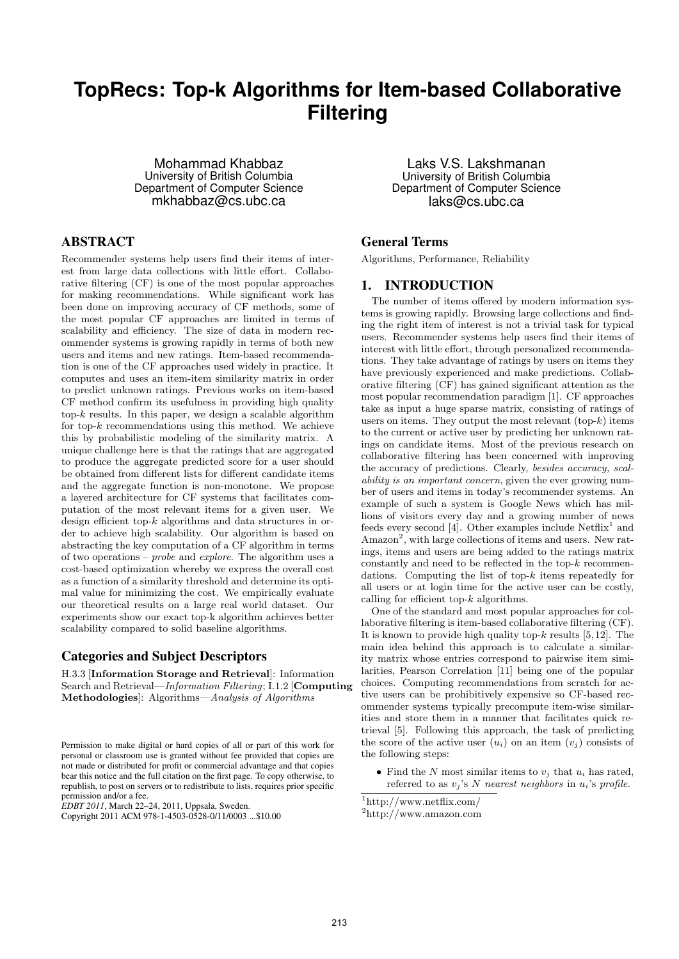# **TopRecs: Top-k Algorithms for Item-based Collaborative Filtering**

Mohammad Khabbaz University of British Columbia Department of Computer Science mkhabbaz@cs.ubc.ca

### ABSTRACT

Recommender systems help users find their items of interest from large data collections with little effort. Collaborative filtering (CF) is one of the most popular approaches for making recommendations. While significant work has been done on improving accuracy of CF methods, some of the most popular CF approaches are limited in terms of scalability and efficiency. The size of data in modern recommender systems is growing rapidly in terms of both new users and items and new ratings. Item-based recommendation is one of the CF approaches used widely in practice. It computes and uses an item-item similarity matrix in order to predict unknown ratings. Previous works on item-based CF method confirm its usefulness in providing high quality top- $k$  results. In this paper, we design a scalable algorithm for top- $k$  recommendations using this method. We achieve this by probabilistic modeling of the similarity matrix. A unique challenge here is that the ratings that are aggregated to produce the aggregate predicted score for a user should be obtained from different lists for different candidate items and the aggregate function is non-monotone. We propose a layered architecture for CF systems that facilitates computation of the most relevant items for a given user. We design efficient top- $k$  algorithms and data structures in order to achieve high scalability. Our algorithm is based on abstracting the key computation of a CF algorithm in terms of two operations – probe and explore. The algorithm uses a cost-based optimization whereby we express the overall cost as a function of a similarity threshold and determine its optimal value for minimizing the cost. We empirically evaluate our theoretical results on a large real world dataset. Our experiments show our exact top-k algorithm achieves better scalability compared to solid baseline algorithms.

### Categories and Subject Descriptors

H.3.3 [Information Storage and Retrieval]: Information Search and Retrieval—Information Filtering; I.1.2 [Computing Methodologies]: Algorithms—Analysis of Algorithms

*EDBT 2011*, March 22–24, 2011, Uppsala, Sweden.

Laks V.S. Lakshmanan University of British Columbia Department of Computer Science laks@cs.ubc.ca

### General Terms

Algorithms, Performance, Reliability

# 1. INTRODUCTION

The number of items offered by modern information systems is growing rapidly. Browsing large collections and finding the right item of interest is not a trivial task for typical users. Recommender systems help users find their items of interest with little effort, through personalized recommendations. They take advantage of ratings by users on items they have previously experienced and make predictions. Collaborative filtering (CF) has gained significant attention as the most popular recommendation paradigm [1]. CF approaches take as input a huge sparse matrix, consisting of ratings of users on items. They output the most relevant  $({\rm top-}k)$  items to the current or active user by predicting her unknown ratings on candidate items. Most of the previous research on collaborative filtering has been concerned with improving the accuracy of predictions. Clearly, besides accuracy, scalability is an important concern, given the ever growing number of users and items in today's recommender systems. An example of such a system is Google News which has millions of visitors every day and a growing number of news feeds every second [4]. Other examples include  $\mathrm{Netflux}^1$  and Amazon<sup>2</sup>, with large collections of items and users. New ratings, items and users are being added to the ratings matrix constantly and need to be reflected in the top- $k$  recommendations. Computing the list of top- $k$  items repeatedly for all users or at login time for the active user can be costly, calling for efficient top- $k$  algorithms.

One of the standard and most popular approaches for collaborative filtering is item-based collaborative filtering (CF). It is known to provide high quality top- $k$  results [5,12]. The main idea behind this approach is to calculate a similarity matrix whose entries correspond to pairwise item similarities, Pearson Correlation [11] being one of the popular choices. Computing recommendations from scratch for active users can be prohibitively expensive so CF-based recommender systems typically precompute item-wise similarities and store them in a manner that facilitates quick retrieval [5]. Following this approach, the task of predicting the score of the active user  $(u_i)$  on an item  $(v_i)$  consists of the following steps:

• Find the N most similar items to  $v_i$  that  $u_i$  has rated, referred to as  $v_i$ 's N nearest neighbors in  $u_i$ 's profile.

Permission to make digital or hard copies of all or part of this work for personal or classroom use is granted without fee provided that copies are not made or distributed for profit or commercial advantage and that copies bear this notice and the full citation on the first page. To copy otherwise, to republish, to post on servers or to redistribute to lists, requires prior specific permission and/or a fee.

Copyright 2011 ACM 978-1-4503-0528-0/11/0003 ...\$10.00

<sup>1</sup>http://www.netflix.com/

<sup>2</sup>http://www.amazon.com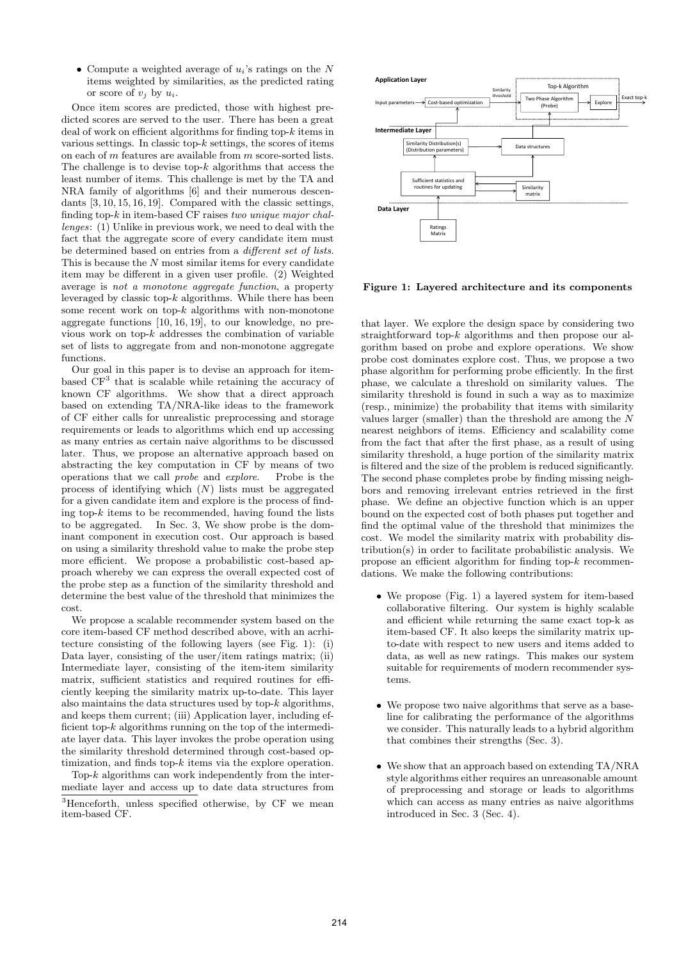• Compute a weighted average of  $u_i$ 's ratings on the  $N$ items weighted by similarities, as the predicted rating or score of  $v_i$  by  $u_i$ .

Once item scores are predicted, those with highest predicted scores are served to the user. There has been a great deal of work on efficient algorithms for finding top- $k$  items in various settings. In classic top- $k$  settings, the scores of items on each of  $m$  features are available from  $m$  score-sorted lists. The challenge is to devise top- $k$  algorithms that access the least number of items. This challenge is met by the TA and NRA family of algorithms [6] and their numerous descendants [3, 10, 15, 16, 19]. Compared with the classic settings, finding top- $k$  in item-based CF raises two unique major challenges: (1) Unlike in previous work, we need to deal with the fact that the aggregate score of every candidate item must be determined based on entries from a different set of lists. This is because the  $N$  most similar items for every candidate item may be different in a given user profile. (2) Weighted average is not a monotone aggregate function, a property leveraged by classic top- $k$  algorithms. While there has been some recent work on top- $k$  algorithms with non-monotone aggregate functions [10, 16, 19], to our knowledge, no previous work on top- $k$  addresses the combination of variable set of lists to aggregate from and non-monotone aggregate functions.

Our goal in this paper is to devise an approach for itembased  $CF<sup>3</sup>$  that is scalable while retaining the accuracy of known CF algorithms. We show that a direct approach based on extending TA/NRA-like ideas to the framework of CF either calls for unrealistic preprocessing and storage requirements or leads to algorithms which end up accessing as many entries as certain naive algorithms to be discussed later. Thus, we propose an alternative approach based on abstracting the key computation in CF by means of two operations that we call probe and explore. Probe is the process of identifying which  $(N)$  lists must be aggregated for a given candidate item and explore is the process of finding top- $k$  items to be recommended, having found the lists to be aggregated. In Sec. 3, We show probe is the dominant component in execution cost. Our approach is based on using a similarity threshold value to make the probe step more efficient. We propose a probabilistic cost-based approach whereby we can express the overall expected cost of the probe step as a function of the similarity threshold and determine the best value of the threshold that minimizes the cost.

We propose a scalable recommender system based on the core item-based CF method described above, with an acrhitecture consisting of the following layers (see Fig. 1): (i) Data layer, consisting of the user/item ratings matrix; (ii) Intermediate layer, consisting of the item-item similarity matrix, sufficient statistics and required routines for efficiently keeping the similarity matrix up-to-date. This layer also maintains the data structures used by top- $k$  algorithms, and keeps them current; (iii) Application layer, including efficient top- $k$  algorithms running on the top of the intermediate layer data. This layer invokes the probe operation using the similarity threshold determined through cost-based optimization, and finds top- $k$  items via the explore operation.

Top- $k$  algorithms can work independently from the intermediate layer and access up to date data structures from



Figure 1: Layered architecture and its components

that layer. We explore the design space by considering two straightforward top- $k$  algorithms and then propose our algorithm based on probe and explore operations. We show probe cost dominates explore cost. Thus, we propose a two phase algorithm for performing probe efficiently. In the first phase, we calculate a threshold on similarity values. The similarity threshold is found in such a way as to maximize (resp., minimize) the probability that items with similarity values larger (smaller) than the threshold are among the  $\tilde{N}$ nearest neighbors of items. Efficiency and scalability come from the fact that after the first phase, as a result of using similarity threshold, a huge portion of the similarity matrix is filtered and the size of the problem is reduced significantly. The second phase completes probe by finding missing neighbors and removing irrelevant entries retrieved in the first phase. We define an objective function which is an upper bound on the expected cost of both phases put together and find the optimal value of the threshold that minimizes the cost. We model the similarity matrix with probability distribution(s) in order to facilitate probabilistic analysis. We propose an efficient algorithm for finding top- $k$  recommendations. We make the following contributions:

- ∙ We propose (Fig. 1) a layered system for item-based collaborative filtering. Our system is highly scalable and efficient while returning the same exact top-k as item-based CF. It also keeps the similarity matrix upto-date with respect to new users and items added to data, as well as new ratings. This makes our system suitable for requirements of modern recommender systems.
- ∙ We propose two naive algorithms that serve as a baseline for calibrating the performance of the algorithms we consider. This naturally leads to a hybrid algorithm that combines their strengths (Sec. 3).
- ∙ We show that an approach based on extending TA/NRA style algorithms either requires an unreasonable amount of preprocessing and storage or leads to algorithms which can access as many entries as naive algorithms introduced in Sec. 3 (Sec. 4).

<sup>3</sup>Henceforth, unless specified otherwise, by CF we mean item-based CF.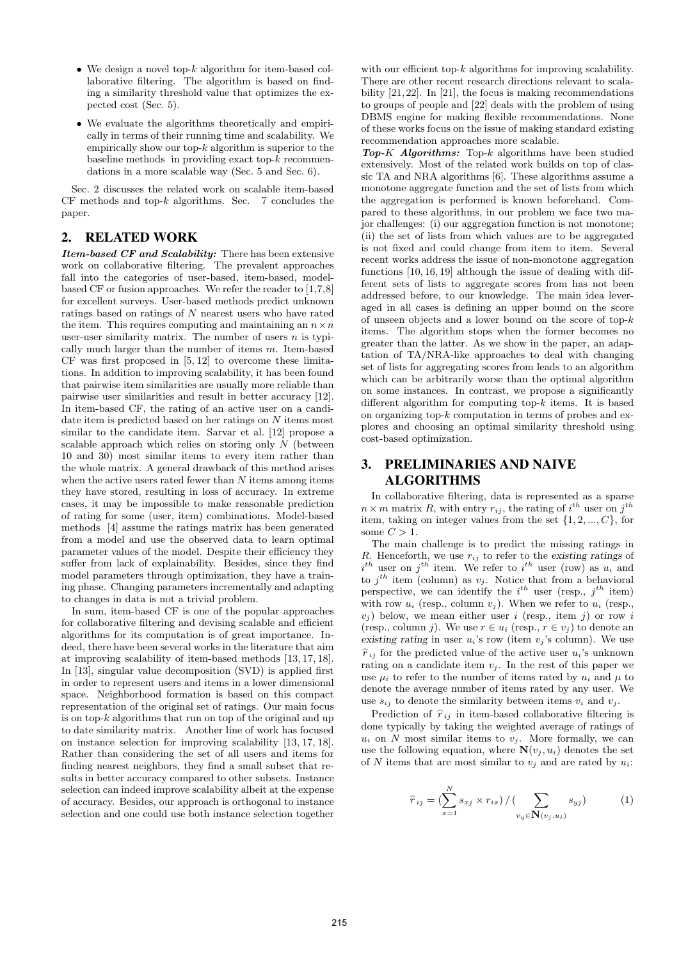- ∙ We design a novel top-𝑘 algorithm for item-based collaborative filtering. The algorithm is based on finding a similarity threshold value that optimizes the expected cost (Sec. 5).
- ∙ We evaluate the algorithms theoretically and empirically in terms of their running time and scalability. We empirically show our top- $k$  algorithm is superior to the baseline methods in providing exact top- $k$  recommendations in a more scalable way (Sec. 5 and Sec. 6).

Sec. 2 discusses the related work on scalable item-based CF methods and top- $k$  algorithms. Sec. 7 concludes the paper.

# 2. RELATED WORK

Item-based CF and Scalability: There has been extensive work on collaborative filtering. The prevalent approaches fall into the categories of user-based, item-based, modelbased CF or fusion approaches. We refer the reader to [1,7,8] for excellent surveys. User-based methods predict unknown ratings based on ratings of  $N$  nearest users who have rated the item. This requires computing and maintaining an  $n \times n$ user-user similarity matrix. The number of users  $n$  is typically much larger than the number of items  $m$ . Item-based CF was first proposed in [5, 12] to overcome these limitations. In addition to improving scalability, it has been found that pairwise item similarities are usually more reliable than pairwise user similarities and result in better accuracy [12]. In item-based CF, the rating of an active user on a candidate item is predicted based on her ratings on  $N$  items most similar to the candidate item. Sarvar et al. [12] propose a scalable approach which relies on storing only  $\tilde{N}$  (between 10 and 30) most similar items to every item rather than the whole matrix. A general drawback of this method arises when the active users rated fewer than  $N$  items among items they have stored, resulting in loss of accuracy. In extreme cases, it may be impossible to make reasonable prediction of rating for some (user, item) combinations. Model-based methods [4] assume the ratings matrix has been generated from a model and use the observed data to learn optimal parameter values of the model. Despite their efficiency they suffer from lack of explainability. Besides, since they find model parameters through optimization, they have a training phase. Changing parameters incrementally and adapting to changes in data is not a trivial problem.

In sum, item-based CF is one of the popular approaches for collaborative filtering and devising scalable and efficient algorithms for its computation is of great importance. Indeed, there have been several works in the literature that aim at improving scalability of item-based methods [13, 17, 18]. In [13], singular value decomposition (SVD) is applied first in order to represent users and items in a lower dimensional space. Neighborhood formation is based on this compact representation of the original set of ratings. Our main focus is on top- $k$  algorithms that run on top of the original and up to date similarity matrix. Another line of work has focused on instance selection for improving scalability [13, 17, 18]. Rather than considering the set of all users and items for finding nearest neighbors, they find a small subset that results in better accuracy compared to other subsets. Instance selection can indeed improve scalability albeit at the expense of accuracy. Besides, our approach is orthogonal to instance selection and one could use both instance selection together

with our efficient top- $k$  algorithms for improving scalability. There are other recent research directions relevant to scalability [21, 22]. In [21], the focus is making recommendations to groups of people and [22] deals with the problem of using DBMS engine for making flexible recommendations. None of these works focus on the issue of making standard existing recommendation approaches more scalable.

**Top-** $K$  **Algorithms:** Top- $k$  algorithms have been studied extensively. Most of the related work builds on top of classic TA and NRA algorithms [6]. These algorithms assume a monotone aggregate function and the set of lists from which the aggregation is performed is known beforehand. Compared to these algorithms, in our problem we face two major challenges: (i) our aggregation function is not monotone; (ii) the set of lists from which values are to be aggregated is not fixed and could change from item to item. Several recent works address the issue of non-monotone aggregation functions [10, 16, 19] although the issue of dealing with different sets of lists to aggregate scores from has not been addressed before, to our knowledge. The main idea leveraged in all cases is defining an upper bound on the score of unseen objects and a lower bound on the score of top- $k$ items. The algorithm stops when the former becomes no greater than the latter. As we show in the paper, an adaptation of TA/NRA-like approaches to deal with changing set of lists for aggregating scores from leads to an algorithm which can be arbitrarily worse than the optimal algorithm on some instances. In contrast, we propose a significantly different algorithm for computing top- $k$  items. It is based on organizing top- $k$  computation in terms of probes and explores and choosing an optimal similarity threshold using cost-based optimization.

# 3. PRELIMINARIES AND NAIVE ALGORITHMS

In collaborative filtering, data is represented as a sparse  $n \times m$  matrix R, with entry  $r_{ij}$ , the rating of  $i^{th}$  user on  $j^{th}$ item, taking on integer values from the set  $\{1, 2, ..., C\}$ , for some  $C > 1$ .

The main challenge is to predict the missing ratings in R. Henceforth, we use  $r_{ij}$  to refer to the existing ratings of  $i^{th}$  user on  $j^{th}$  item. We refer to  $i^{th}$  user (row) as  $u_i$  and to  $j^{th}$  item (column) as  $v_j$ . Notice that from a behavioral perspective, we can identify the  $i^{th}$  user (resp.,  $j^{th}$  item) with row  $u_i$  (resp., column  $v_j$ ). When we refer to  $u_i$  (resp.,  $v_i$ ) below, we mean either user *i* (resp., item *j*) or row *i* (resp., column *j*). We use  $r \in u_i$  (resp.,  $r \in v_j$ ) to denote an existing rating in user  $u_i$ 's row (item  $v_j$ 's column). We use  $\hat{r}_{ij}$  for the predicted value of the active user  $u_i$ 's unknown rating on a candidate item  $v_j$ . In the rest of this paper we use  $\mu_i$  to refer to the number of items rated by  $u_i$  and  $\mu$  to denote the average number of items rated by any user. We use  $s_{ij}$  to denote the similarity between items  $v_i$  and  $v_j$ .

Prediction of  $\hat{r}_{ij}$  in item-based collaborative filtering is done typically by taking the weighted average of ratings of  $u_i$  on N most similar items to  $v_i$ . More formally, we can use the following equation, where  $\mathbf{N}(v_i, u_i)$  denotes the set of N items that are most similar to  $v_j$  and are rated by  $u_i$ :

$$
\widehat{r}_{ij} = \left(\sum_{x=1}^{N} s_{xj} \times r_{ix}\right) / \left(\sum_{v_y \in \mathbf{N}(v_j, u_i)} s_{yj}\right) \tag{1}
$$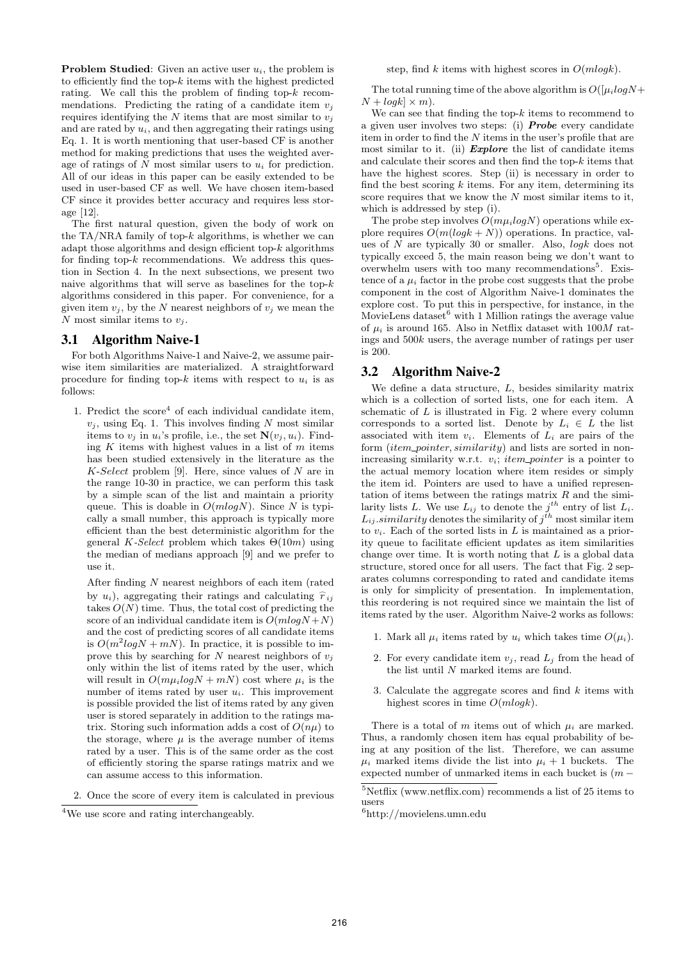**Problem Studied:** Given an active user  $u_i$ , the problem is to efficiently find the top- $k$  items with the highest predicted rating. We call this the problem of finding top- $k$  recommendations. Predicting the rating of a candidate item  $v_i$ requires identifying the  $N$  items that are most similar to  $v_j$ and are rated by  $u_i$ , and then aggregating their ratings using Eq. 1. It is worth mentioning that user-based CF is another method for making predictions that uses the weighted average of ratings of  $N$  most similar users to  $u_i$  for prediction. All of our ideas in this paper can be easily extended to be used in user-based CF as well. We have chosen item-based CF since it provides better accuracy and requires less storage [12].

The first natural question, given the body of work on the TA/NRA family of top- $k$  algorithms, is whether we can adapt those algorithms and design efficient top- $k$  algorithms for finding top- $k$  recommendations. We address this question in Section 4. In the next subsections, we present two naive algorithms that will serve as baselines for the top- $k$ algorithms considered in this paper. For convenience, for a given item  $v_j$ , by the N nearest neighbors of  $v_j$  we mean the N most similar items to  $v_i$ .

# 3.1 Algorithm Naive-1

For both Algorithms Naive-1 and Naive-2, we assume pairwise item similarities are materialized. A straightforward procedure for finding top- $k$  items with respect to  $u_i$  is as follows:

1. Predict the score<sup>4</sup> of each individual candidate item,  $v_i$ , using Eq. 1. This involves finding N most similar items to  $v_i$  in  $u_i$ 's profile, i.e., the set  $\mathbf{N}(v_j, u_i)$ . Finding  $K$  items with highest values in a list of  $m$  items has been studied extensively in the literature as the  $K-Select$  problem [9]. Here, since values of  $N$  are in the range 10-30 in practice, we can perform this task by a simple scan of the list and maintain a priority queue. This is doable in  $O(m \log N)$ . Since N is typically a small number, this approach is typically more efficient than the best deterministic algorithm for the general K-Select problem which takes  $\Theta(10m)$  using the median of medians approach [9] and we prefer to use it.

After finding  $N$  nearest neighbors of each item (rated by  $u_i$ ), aggregating their ratings and calculating  $\hat{r}_{ij}$ takes  $O(N)$  time. Thus, the total cost of predicting the score of an individual candidate item is  $O(m \log N + N)$ and the cost of predicting scores of all candidate items is  $O(m^2 log N + mN)$ . In practice, it is possible to improve this by searching for  $N$  nearest neighbors of  $v_i$ only within the list of items rated by the user, which will result in  $O(m\mu_i log N + mN)$  cost where  $\mu_i$  is the number of items rated by user  $u_i$ . This improvement is possible provided the list of items rated by any given user is stored separately in addition to the ratings matrix. Storing such information adds a cost of  $O(n\mu)$  to the storage, where  $\mu$  is the average number of items rated by a user. This is of the same order as the cost of efficiently storing the sparse ratings matrix and we can assume access to this information.

2. Once the score of every item is calculated in previous

step, find  $k$  items with highest scores in  $O(mlog k)$ .

The total running time of the above algorithm is  $O(|\mu_i log N + \frac{1}{n_i})$  $N + log k \, \times m$ ).

We can see that finding the top- $k$  items to recommend to a given user involves two steps: (i) Probe every candidate item in order to find the  $N$  items in the user's profile that are most similar to it. (ii) **Explore** the list of candidate items and calculate their scores and then find the top- $k$  items that have the highest scores. Step (ii) is necessary in order to find the best scoring  $k$  items. For any item, determining its score requires that we know the  $N$  most similar items to it, which is addressed by step (i).

The probe step involves  $\hat{O}(m\mu_i log N)$  operations while explore requires  $O(m(log k + N))$  operations. In practice, values of  $N$  are typically 30 or smaller. Also,  $log k$  does not typically exceed 5, the main reason being we don't want to overwhelm users with too many recommendations<sup>5</sup>. Existence of a  $\mu_i$  factor in the probe cost suggests that the probe component in the cost of Algorithm Naive-1 dominates the explore cost. To put this in perspective, for instance, in the MovieLens dataset $6$  with 1 Million ratings the average value of  $\mu_i$  is around 165. Also in Netflix dataset with 100M ratings and  $500k$  users, the average number of ratings per user is 200.

# 3.2 Algorithm Naive-2

We define a data structure,  $L$ , besides similarity matrix which is a collection of sorted lists, one for each item. A schematic of  $L$  is illustrated in Fig. 2 where every column corresponds to a sorted list. Denote by  $L_i \in L$  the list associated with item  $v_i$ . Elements of  $L_i$  are pairs of the form (*item\_pointer, similarity*) and lists are sorted in nonincreasing similarity w.r.t.  $v_i$ ; *item\_pointer* is a pointer to the actual memory location where item resides or simply the item id. Pointers are used to have a unified representation of items between the ratings matrix  $R$  and the similarity lists L. We use  $L_{ij}$  to denote the  $j^{th}$  entry of list  $L_i$ .  $L_{ij}.similarity$  denotes the similarity of  $j^{th}$  most similar item to  $v_i$ . Each of the sorted lists in L is maintained as a priority queue to facilitate efficient updates as item similarities change over time. It is worth noting that  $L$  is a global data structure, stored once for all users. The fact that Fig. 2 separates columns corresponding to rated and candidate items is only for simplicity of presentation. In implementation, this reordering is not required since we maintain the list of items rated by the user. Algorithm Naive-2 works as follows:

- 1. Mark all  $\mu_i$  items rated by  $u_i$  which takes time  $O(\mu_i)$ .
- 2. For every candidate item  $v_i$ , read  $L_i$  from the head of the list until  $N$  marked items are found.
- 3. Calculate the aggregate scores and find  $k$  items with highest scores in time  $O(mlog k)$ .

There is a total of  $m$  items out of which  $\mu_i$  are marked. Thus, a randomly chosen item has equal probability of being at any position of the list. Therefore, we can assume  $\mu_i$  marked items divide the list into  $\mu_i + 1$  buckets. The expected number of unmarked items in each bucket is  $(m -$ 

<sup>&</sup>lt;sup>4</sup>We use score and rating interchangeably.

 ${}^5\mathrm{Netflux}$  (www.netflix.com) recommends a list of 25 items to users

<sup>6</sup>http://movielens.umn.edu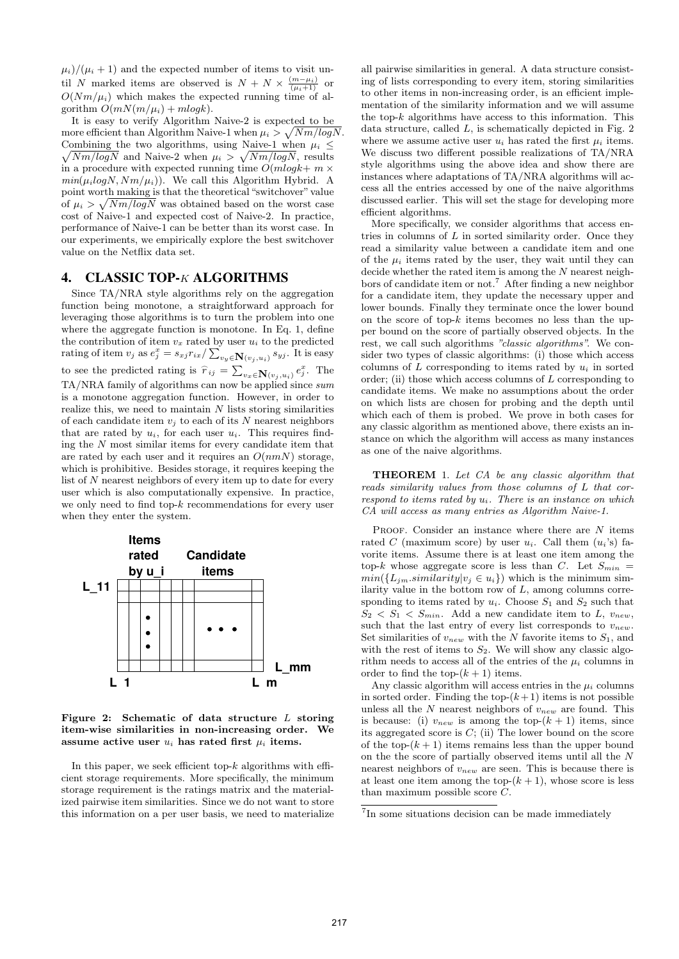$\mu_i$ / $(\mu_i + 1)$  and the expected number of items to visit until N marked items are observed is  $N + N \times \frac{(m - \mu_i)}{(\mu_i + 1)}$  or  $O(Nm/\mu_i)$  which makes the expected running time of algorithm  $O(mN(m/\mu_i) + mlogk)$ .

It is easy to verify Algorithm Naive-2 is expected to be more efficient than Algorithm Naive-1 when  $\mu_i > \sqrt{Nm/logN}$ . Combining the two algorithms, using Naive-1 when  $\mu_i \leq$  $\sqrt{Nm/logN}$  and Naive-2 when  $\mu_i > \sqrt{Nm/logN}$ , results in a procedure with expected running time  $O(mlog k + m \times$  $min(\mu_i log N, Nm/\mu_i)$ ). We call this Algorithm Hybrid. A point worth making is that the theoretical "switchover" value of  $\mu_i > \sqrt{Nm/logN}$  was obtained based on the worst case cost of Naive-1 and expected cost of Naive-2. In practice, performance of Naive-1 can be better than its worst case. In our experiments, we empirically explore the best switchover value on the Netflix data set.

# 4. CLASSIC TOP-K ALGORITHMS

Since TA/NRA style algorithms rely on the aggregation function being monotone, a straightforward approach for leveraging those algorithms is to turn the problem into one where the aggregate function is monotone. In Eq. 1, define the contribution of item  $v_x$  rated by user  $u_i$  to the predicted rating of item  $v_j$  as  $e_j^x = s_{xj} r_{ix} / \sum_{v_y \in \mathbb{N}(v_j, u_i)} s_{yj}$ . It is easy to see the predicted rating is  $\widehat{r}_{ij} = \sum_{v_x \in \mathbf{N}(v_j, u_i)} e_j^x$ . The TA/NRA family of algorithms can now be applied since sum is a monotone aggregation function. However, in order to realize this, we need to maintain  $N$  lists storing similarities of each candidate item  $v_i$  to each of its  $N$  nearest neighbors that are rated by  $u_i$ , for each user  $u_i$ . This requires finding the  $N$  most similar items for every candidate item that are rated by each user and it requires an  $O(nm)$  storage, which is prohibitive. Besides storage, it requires keeping the list of  $\cal N$  nearest neighbors of every item up to date for every user which is also computationally expensive. In practice, we only need to find top- $k$  recommendations for every user when they enter the system.



Figure 2: Schematic of data structure  $L$  storing item-wise similarities in non-increasing order. We assume active user  $u_i$  has rated first  $\mu_i$  items.

In this paper, we seek efficient top- $k$  algorithms with efficient storage requirements. More specifically, the minimum storage requirement is the ratings matrix and the materialized pairwise item similarities. Since we do not want to store this information on a per user basis, we need to materialize

all pairwise similarities in general. A data structure consisting of lists corresponding to every item, storing similarities to other items in non-increasing order, is an efficient implementation of the similarity information and we will assume the top- $k$  algorithms have access to this information. This data structure, called  $L$ , is schematically depicted in Fig. 2 where we assume active user  $u_i$  has rated the first  $\mu_i$  items. We discuss two different possible realizations of TA/NRA style algorithms using the above idea and show there are instances where adaptations of TA/NRA algorithms will access all the entries accessed by one of the naive algorithms discussed earlier. This will set the stage for developing more efficient algorithms.

More specifically, we consider algorithms that access entries in columns of  $L$  in sorted similarity order. Once they read a similarity value between a candidate item and one of the  $\mu_i$  items rated by the user, they wait until they can decide whether the rated item is among the  $N$  nearest neighbors of candidate item or not.<sup>7</sup> After finding a new neighbor for a candidate item, they update the necessary upper and lower bounds. Finally they terminate once the lower bound on the score of top- $k$  items becomes no less than the upper bound on the score of partially observed objects. In the rest, we call such algorithms "classic algorithms". We consider two types of classic algorithms: (i) those which access columns of  $L$  corresponding to items rated by  $u_i$  in sorted order; (ii) those which access columns of  $L$  corresponding to candidate items. We make no assumptions about the order on which lists are chosen for probing and the depth until which each of them is probed. We prove in both cases for any classic algorithm as mentioned above, there exists an instance on which the algorithm will access as many instances as one of the naive algorithms.

THEOREM 1. Let CA be any classic algorithm that reads similarity values from those columns of  $L$  that correspond to items rated by  $u_i$ . There is an instance on which CA will access as many entries as Algorithm Naive-1.

PROOF. Consider an instance where there are  $N$  items rated C (maximum score) by user  $u_i$ . Call them  $(u_i$ 's) favorite items. Assume there is at least one item among the top-k whose aggregate score is less than C. Let  $S_{min}$  =  $min({\{L_{jm}.similarity|v_i \in u_i\}})$  which is the minimum similarity value in the bottom row of  $L$ , among columns corresponding to items rated by  $u_i$ . Choose  $S_1$  and  $S_2$  such that  $S_2 < S_1 < S_{min}$ . Add a new candidate item to L,  $v_{new}$ , such that the last entry of every list corresponds to  $v_{new}$ . Set similarities of  $v_{new}$  with the N favorite items to  $S_1$ , and with the rest of items to  $S_2$ . We will show any classic algorithm needs to access all of the entries of the  $\mu_i$  columns in order to find the top- $(k+1)$  items.

Any classic algorithm will access entries in the  $\mu_i$  columns in sorted order. Finding the top- $(k+1)$  items is not possible unless all the  $N$  nearest neighbors of  $v_{new}$  are found. This is because: (i)  $v_{new}$  is among the top-( $k + 1$ ) items, since its aggregated score is  $C$ ; (ii) The lower bound on the score of the top- $(k+1)$  items remains less than the upper bound on the the score of partially observed items until all the  $N$ nearest neighbors of  $v_{new}$  are seen. This is because there is at least one item among the top- $(k+1)$ , whose score is less than maximum possible score  $C$ .

<sup>&</sup>lt;sup>7</sup>In some situations decision can be made immediately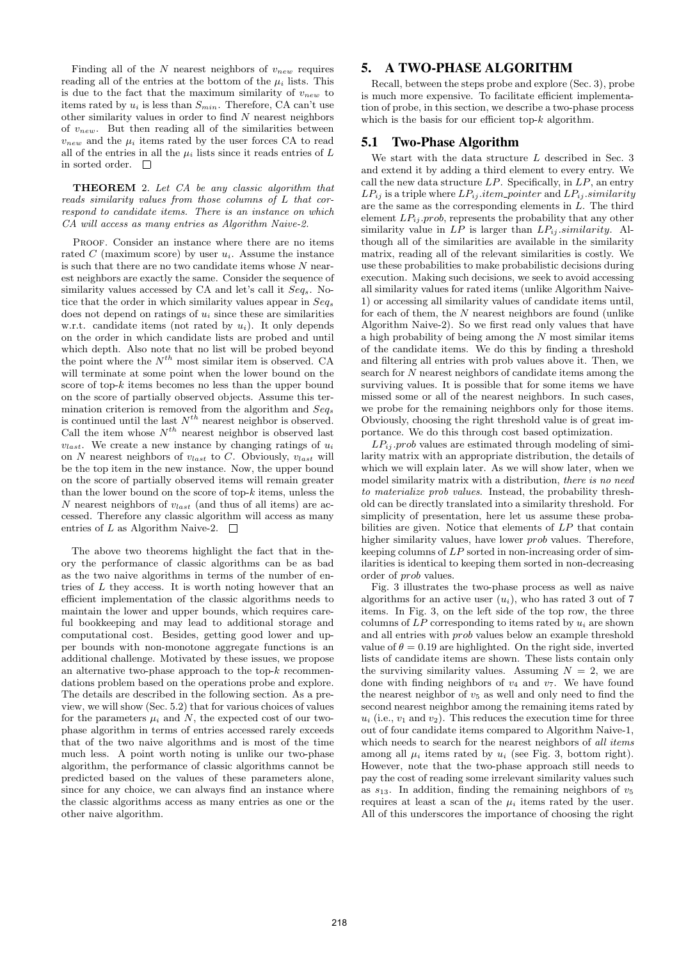Finding all of the  $N$  nearest neighbors of  $v_{new}$  requires reading all of the entries at the bottom of the  $\mu_i$  lists. This is due to the fact that the maximum similarity of  $v_{new}$  to items rated by  $u_i$  is less than  $S_{min}$ . Therefore, CA can't use other similarity values in order to find  $N$  nearest neighbors of  $v_{new}$ . But then reading all of the similarities between  $v_{new}$  and the  $\mu_i$  items rated by the user forces CA to read all of the entries in all the  $\mu_i$  lists since it reads entries of  $L$ in sorted order.  $\Box$ 

THEOREM 2. Let CA be any classic algorithm that reads similarity values from those columns of  $L$  that correspond to candidate items. There is an instance on which CA will access as many entries as Algorithm Naive-2.

PROOF. Consider an instance where there are no items rated  $C$  (maximum score) by user  $u_i$ . Assume the instance is such that there are no two candidate items whose  $N$  nearest neighbors are exactly the same. Consider the sequence of similarity values accessed by CA and let's call it  $Seq_s$ . Notice that the order in which similarity values appear in  $Seq_s$ does not depend on ratings of  $u_i$  since these are similarities w.r.t. candidate items (not rated by  $u_i$ ). It only depends on the order in which candidate lists are probed and until which depth. Also note that no list will be probed beyond the point where the  $N^{th}$  most similar item is observed. CA will terminate at some point when the lower bound on the score of top- $k$  items becomes no less than the upper bound on the score of partially observed objects. Assume this termination criterion is removed from the algorithm and  $Seq_s$ is continued until the last  $N^{th}$  nearest neighbor is observed. Call the item whose  $N^{th}$  nearest neighbor is observed last  $v_{last}$ . We create a new instance by changing ratings of  $u_i$ on N nearest neighbors of  $v_{last}$  to C. Obviously,  $v_{last}$  will be the top item in the new instance. Now, the upper bound on the score of partially observed items will remain greater than the lower bound on the score of top- $k$  items, unless the  $N$  nearest neighbors of  $v_{last}$  (and thus of all items) are accessed. Therefore any classic algorithm will access as many entries of  $L$  as Algorithm Naive-2.  $\quad \Box$ 

The above two theorems highlight the fact that in theory the performance of classic algorithms can be as bad as the two naive algorithms in terms of the number of entries of  $L$  they access. It is worth noting however that an efficient implementation of the classic algorithms needs to maintain the lower and upper bounds, which requires careful bookkeeping and may lead to additional storage and computational cost. Besides, getting good lower and upper bounds with non-monotone aggregate functions is an additional challenge. Motivated by these issues, we propose an alternative two-phase approach to the top- $k$  recommendations problem based on the operations probe and explore. The details are described in the following section. As a preview, we will show (Sec. 5.2) that for various choices of values for the parameters  $\mu_i$  and  $N$ , the expected cost of our twophase algorithm in terms of entries accessed rarely exceeds that of the two naive algorithms and is most of the time much less. A point worth noting is unlike our two-phase algorithm, the performance of classic algorithms cannot be predicted based on the values of these parameters alone, since for any choice, we can always find an instance where the classic algorithms access as many entries as one or the other naive algorithm.

# 5. A TWO-PHASE ALGORITHM

Recall, between the steps probe and explore (Sec. 3), probe is much more expensive. To facilitate efficient implementation of probe, in this section, we describe a two-phase process which is the basis for our efficient top- $k$  algorithm.

## 5.1 Two-Phase Algorithm

We start with the data structure  $L$  described in Sec. 3 and extend it by adding a third element to every entry. We call the new data structure  $LP$ . Specifically, in  $LP$ , an entry  $LP_{ij}$  is a triple where  $LP_{ij}$  item\_pointer and  $LP_{ij}$  similarity are the same as the corresponding elements in  $L$ . The third element  $LP_{ij}.prob$ , represents the probability that any other similarity value in  $LP$  is larger than  $LP_{ij}.$  similarity. Although all of the similarities are available in the similarity matrix, reading all of the relevant similarities is costly. We use these probabilities to make probabilistic decisions during execution. Making such decisions, we seek to avoid accessing all similarity values for rated items (unlike Algorithm Naive-1) or accessing all similarity values of candidate items until, for each of them, the  $N$  nearest neighbors are found (unlike Algorithm Naive-2). So we first read only values that have a high probability of being among the  $N$  most similar items of the candidate items. We do this by finding a threshold and filtering all entries with prob values above it. Then, we search for  $N$  nearest neighbors of candidate items among the surviving values. It is possible that for some items we have missed some or all of the nearest neighbors. In such cases, we probe for the remaining neighbors only for those items. Obviously, choosing the right threshold value is of great importance. We do this through cost based optimization.

 $LP_{ij}.prob$  values are estimated through modeling of similarity matrix with an appropriate distribution, the details of which we will explain later. As we will show later, when we model similarity matrix with a distribution, there is no need to materialize prob values. Instead, the probability threshold can be directly translated into a similarity threshold. For simplicity of presentation, here let us assume these probabilities are given. Notice that elements of  $LP$  that contain higher similarity values, have lower *prob* values. Therefore, keeping columns of  $LP$  sorted in non-increasing order of similarities is identical to keeping them sorted in non-decreasing order of *prob* values.

Fig. 3 illustrates the two-phase process as well as naive algorithms for an active user  $(u_i)$ , who has rated 3 out of 7 items. In Fig. 3, on the left side of the top row, the three columns of  $LP$  corresponding to items rated by  $u_i$  are shown and all entries with *prob* values below an example threshold value of  $\theta = 0.19$  are highlighted. On the right side, inverted lists of candidate items are shown. These lists contain only the surviving similarity values. Assuming  $N = 2$ , we are done with finding neighbors of  $v_4$  and  $v_7$ . We have found the nearest neighbor of  $v_5$  as well and only need to find the second nearest neighbor among the remaining items rated by  $u_i$  (i.e.,  $v_1$  and  $v_2$ ). This reduces the execution time for three out of four candidate items compared to Algorithm Naive-1, which needs to search for the nearest neighbors of all items among all  $\mu_i$  items rated by  $u_i$  (see Fig. 3, bottom right). However, note that the two-phase approach still needs to pay the cost of reading some irrelevant similarity values such as  $s_{13}$ . In addition, finding the remaining neighbors of  $v_5$ requires at least a scan of the  $\mu_i$  items rated by the user. All of this underscores the importance of choosing the right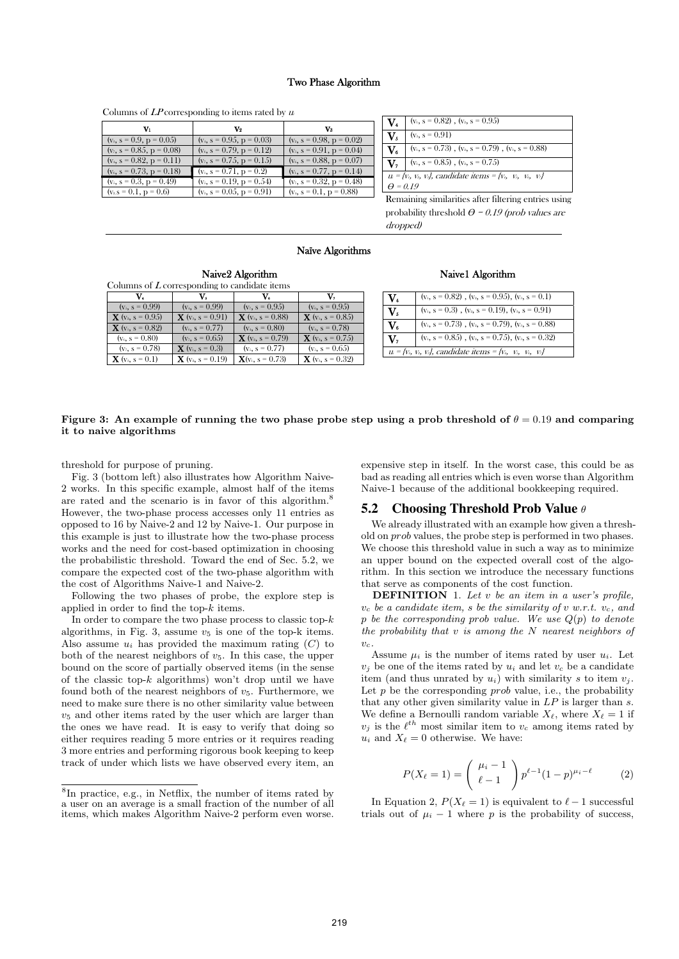### Two Phase Algorithm

Columns of  $LP$  corresponding to items rated by  $u$ 

| Vı                          | V2                          | V.                          |
|-----------------------------|-----------------------------|-----------------------------|
| $(v_a, s = 0.9, p = 0.05)$  | $(v_4, s = 0.95, p = 0.03)$ | $(v_2, s = 0.98, p = 0.02)$ |
| $(y_7, s = 0.85, p = 0.08)$ | $(v_6, s = 0.79, p = 0.12)$ | $(y_5, s = 0.91, p = 0.04)$ |
| $(v_4, s = 0.82, p = 0.11)$ | $(y_7, s = 0.75, p = 0.15)$ | $(v_6, s = 0.88, p = 0.07)$ |
| $(v_6, s = 0.73, p = 0.18)$ | $(v_1, s = 0.71, p = 0.2)$  | $(y_i, s = 0.77, p = 0.14)$ |
| $(v_s, s = 0.3, p = 0.49)$  | $(v_s, s = 0.19, p = 0.54)$ | $(y_7, s = 0.32, p = 0.48)$ |
| $(y_{2,S} = 0.1, p = 0.6)$  | $(v_a, s = 0.05, p = 0.91)$ | $(v_4, s = 0.1, p = 0.88)$  |

| $\mathbf{V}_4$                                                       | $(v_1, s = 0.82)$ , $(v_2, s = 0.95)$                          |  |
|----------------------------------------------------------------------|----------------------------------------------------------------|--|
| $\mathbf{V}_s$                                                       | $(v_3, s = 0.91)$                                              |  |
| $\mathbf{V}_{\mathbf{s}}$                                            | $(v_1, s = 0.73)$ , $(v_2, s = 0.79)$ , $(v_3, s = 0.88)$      |  |
|                                                                      | $V_7$ (v <sub>1</sub> , s = 0.85), (v <sub>2</sub> , s = 0.75) |  |
| $u = \{v_1, v_2, v_3\}$ , candidate items = $\{v_4, v_5, v_6, v_7\}$ |                                                                |  |
| $\theta = 0.19$                                                      |                                                                |  |

Remaining similarities after filtering entries using probability threshold  $\theta = 0.19$  (prob values are dropped)

### Naïve Algorithms

|  | Naivel Algorithm |
|--|------------------|
|--|------------------|

| Columns of $L$ corresponding to candidate items |                                          |                                          |                                          |  |  |
|-------------------------------------------------|------------------------------------------|------------------------------------------|------------------------------------------|--|--|
| v.                                              | v.                                       | v.                                       | v.                                       |  |  |
| $(v_s, s = 0.99)$                               | $(y_4, s = 0.99)$                        | $(v_7, s = 0.95)$                        | $(v_6, s = 0.95)$                        |  |  |
| $\mathbf{X}$ (v <sub>2</sub> , s = 0.95)        | $\mathbf{X}$ (v <sub>3</sub> , s = 0.91) | $\mathbf{X}$ (v <sub>3</sub> , s = 0.88) | $\mathbf{X}$ (v <sub>i</sub> , s = 0.85) |  |  |
| $\mathbf{X}$ (v <sub>1</sub> , s = 0.82)        | $(v_6, s = 0.77)$                        | $(v_4, s = 0.80)$                        | $(v_4, s = 0.78)$                        |  |  |
| $(v_6, s = 0.80)$                               | $(y_7, s = 0.65)$                        | $\mathbf{X}$ (v <sub>2</sub> , s = 0.79) | $\mathbf{X}$ (v <sub>2</sub> , s = 0.75) |  |  |
| $(y_7, s = 0.78)$                               | $\mathbf{X}$ (v <sub>1</sub> , s = 0.3)  | $(v_s, s = 0.77)$                        | $(v_5, s = 0.65)$                        |  |  |
| $\mathbf{X}$ (v <sub>3</sub> , s = 0.1)         | $\mathbf{X}$ (v <sub>2</sub> , s = 0.19) | ${\bf X}(v_1, s = 0.73)$                 | $\mathbf{X}$ (v <sub>3</sub> , s = 0.32) |  |  |

Naive2 Algorithm

| v.                                                                   | $(v_1, s = 0.82)$ , $(v_2, s = 0.95)$ , $(v_3, s = 0.1)$  |  |
|----------------------------------------------------------------------|-----------------------------------------------------------|--|
| V,                                                                   | $(v_1, s = 0.3)$ , $(v_2, s = 0.19)$ , $(v_3, s = 0.91)$  |  |
| V.                                                                   | $(v_1, s = 0.73)$ , $(v_2, s = 0.79)$ , $(v_3, s = 0.88)$ |  |
| V,                                                                   | $(v_1, s = 0.85)$ , $(v_2, s = 0.75)$ , $(v_3, s = 0.32)$ |  |
| $u = \{v_1, v_2, v_3\}$ , candidate items = $\{v_4, v_5, v_6, v_7\}$ |                                                           |  |

### Figure 3: An example of running the two phase probe step using a prob threshold of  $\theta = 0.19$  and comparing it to naive algorithms

threshold for purpose of pruning.

Fig. 3 (bottom left) also illustrates how Algorithm Naive-2 works. In this specific example, almost half of the items are rated and the scenario is in favor of this algorithm.<sup>8</sup> However, the two-phase process accesses only 11 entries as opposed to 16 by Naive-2 and 12 by Naive-1. Our purpose in this example is just to illustrate how the two-phase process works and the need for cost-based optimization in choosing the probabilistic threshold. Toward the end of Sec. 5.2, we compare the expected cost of the two-phase algorithm with the cost of Algorithms Naive-1 and Naive-2.

Following the two phases of probe, the explore step is applied in order to find the top- $k$  items.

In order to compare the two phase process to classic top- $k$ algorithms, in Fig. 3, assume  $v_5$  is one of the top-k items. Also assume  $u_i$  has provided the maximum rating  $(C)$  to both of the nearest neighbors of  $v_5$ . In this case, the upper bound on the score of partially observed items (in the sense of the classic top- $k$  algorithms) won't drop until we have found both of the nearest neighbors of  $v_5$ . Furthermore, we need to make sure there is no other similarity value between  $v<sub>5</sub>$  and other items rated by the user which are larger than the ones we have read. It is easy to verify that doing so either requires reading 5 more entries or it requires reading 3 more entries and performing rigorous book keeping to keep track of under which lists we have observed every item, an

expensive step in itself. In the worst case, this could be as bad as reading all entries which is even worse than Algorithm Naive-1 because of the additional bookkeeping required.

### 5.2 Choosing Threshold Prob Value  $\theta$

We already illustrated with an example how given a threshold on *prob* values, the probe step is performed in two phases. We choose this threshold value in such a way as to minimize an upper bound on the expected overall cost of the algorithm. In this section we introduce the necessary functions that serve as components of the cost function.

**DEFINITION** 1. Let  $v$  be an item in a user's profile,  $v_c$  be a candidate item, s be the similarity of v w.r.t.  $v_c$ , and p be the corresponding prob value. We use  $Q(p)$  to denote the probability that  $v$  is among the  $N$  nearest neighbors of  $v_{c}$ .

Assume  $\mu_i$  is the number of items rated by user  $u_i$ . Let  $v_i$  be one of the items rated by  $u_i$  and let  $v_c$  be a candidate item (and thus unrated by  $u_i$ ) with similarity s to item  $v_j$ . Let  $p$  be the corresponding  $prob$  value, i.e., the probability that any other given similarity value in  $LP$  is larger than  $s$ . We define a Bernoulli random variable  $X_{\ell}$ , where  $X_{\ell} = 1$  if  $v_j$  is the  $\ell^{th}$  most similar item to  $v_c$  among items rated by  $u_i$  and  $X_\ell = 0$  otherwise. We have:

$$
P(X_{\ell} = 1) = \begin{pmatrix} \mu_{i} - 1 \\ \ell - 1 \end{pmatrix} p^{\ell - 1} (1 - p)^{\mu_{i} - \ell} \tag{2}
$$

In Equation 2,  $P(X_\ell = 1)$  is equivalent to  $\ell - 1$  successful trials out of  $\mu_i - 1$  where p is the probability of success,

<sup>8</sup> In practice, e.g., in Netflix, the number of items rated by a user on an average is a small fraction of the number of all items, which makes Algorithm Naive-2 perform even worse.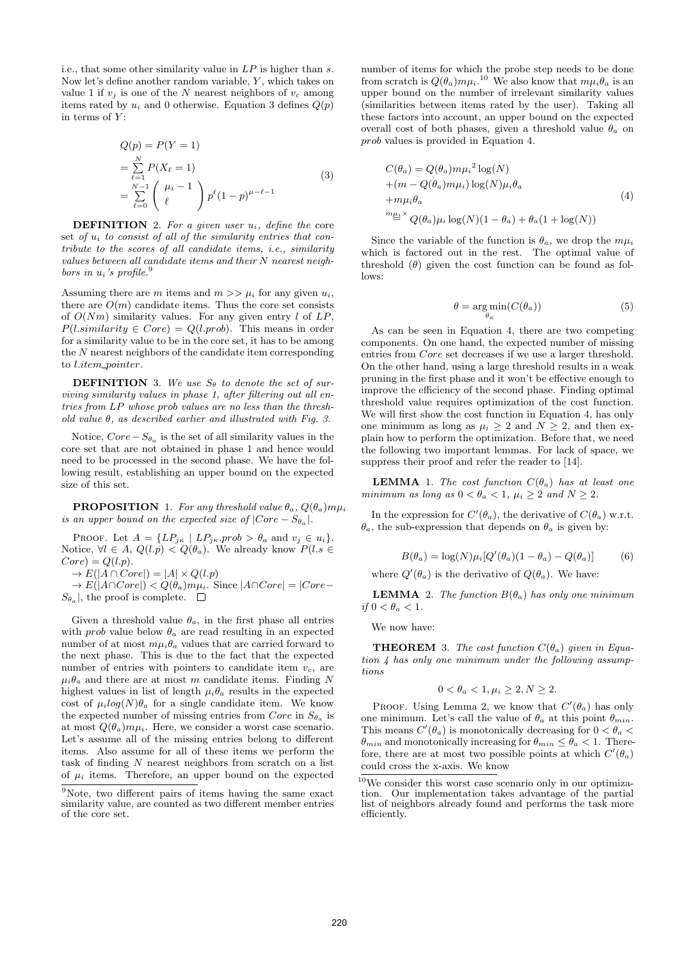i.e., that some other similarity value in  $LP$  is higher than  $s$ . Now let's define another random variable,  $Y$ , which takes on value 1 if  $v_i$  is one of the N nearest neighbors of  $v_c$  among items rated by  $u_i$  and 0 otherwise. Equation 3 defines  $Q(p)$ in terms of  $Y$ :

$$
Q(p) = P(Y = 1)
$$
  
=  $\sum_{\ell=1}^{N} P(X_{\ell} = 1)$   
=  $\sum_{\ell=0}^{N-1} {\mu_i - 1 \choose \ell} p^{\ell} (1-p)^{\mu-\ell-1}$  (3)

**DEFINITION** 2. For a given user  $u_i$ , define the core set of  $u_i$  to consist of all of the similarity entries that contribute to the scores of all candidate items, i.e., similarity values between all candidate items and their  $N$  nearest neighbors in  $u_i$ 's profile.<sup>9</sup>

Assuming there are m items and  $m \gg \mu_i$  for any given  $u_i$ , there are  $O(m)$  candidate items. Thus the core set consists of  $O(Nm)$  similarity values. For any given entry l of  $LP$ ,  $P(l.similarity \in Core) = Q(l.pop)$ . This means in order for a similarity value to be in the core set, it has to be among the  $N$  nearest neighbors of the candidate item corresponding to l.item\_pointer.

**DEFINITION** 3. We use  $S_{\theta}$  to denote the set of surviving similarity values in phase 1, after filtering out all entries from  $LP$  whose prob values are no less than the threshold value  $\theta$ , as described earlier and illustrated with Fig. 3.

Notice,  $Core - S_{\theta_a}$  is the set of all similarity values in the core set that are not obtained in phase 1 and hence would need to be processed in the second phase. We have the following result, establishing an upper bound on the expected size of this set.

**PROPOSITION** 1. For any threshold value  $\theta_a$ ,  $Q(\theta_a)m\mu_i$ is an upper bound on the expected size of  $|Core - S_{\theta_a}|$ .

PROOF. Let  $A = \{LP_{j\kappa} \mid LP_{j\kappa}.prob > \theta_a \text{ and } v_j \in u_i\}.$ Notice,  $\forall l \in A$ ,  $Q(l.p) < Q(\theta_a)$ . We already know  $P(l.s \in \mathbb{R})$  $Core) = Q(l.p).$ 

 $\rightarrow E(|A \cap Core|) = |A| \times Q(l.p)$ 

 $\rightarrow E(|A \cap Core|) < Q(\theta_a)m\mu_i$ . Since  $|A \cap Core| = |Core-\rangle$  $S_{\theta_a}$ , the proof is complete.

Given a threshold value  $\theta_a$ , in the first phase all entries with *prob* value below  $\theta_a$  are read resulting in an expected number of at most  $m\mu_i\theta_a$  values that are carried forward to the next phase. This is due to the fact that the expected number of entries with pointers to candidate item  $v_c$ , are  $\mu_i \theta_a$  and there are at most m candidate items. Finding N highest values in list of length  $\mu_i \theta_a$  results in the expected cost of  $\mu_i log(N)\theta_a$  for a single candidate item. We know the expected number of missing entries from  $Core$  in  $S_{\theta_a}$  is at most  $Q(\theta_a)m\mu_i$ . Here, we consider a worst case scenario. Let's assume all of the missing entries belong to different items. Also assume for all of these items we perform the task of finding  $N$  nearest neighbors from scratch on a list of  $\mu_i$  items. Therefore, an upper bound on the expected

number of items for which the probe step needs to be done from scratch is  $Q(\theta_a) m \mu_i$ <sup>10</sup> We also know that  $m \mu_i \theta_a$  is an upper bound on the number of irrelevant similarity values (similarities between items rated by the user). Taking all these factors into account, an upper bound on the expected overall cost of both phases, given a threshold value  $\theta_a$  on prob values is provided in Equation 4.

$$
C(\theta_a) = Q(\theta_a) m \mu_i^2 \log(N)
$$
  
+
$$
(m - Q(\theta_a) m \mu_i) \log(N) \mu_i \theta_a
$$
  
+
$$
m \mu_i \theta_a
$$
  

$$
\mu_i^2 \chi^2 Q(\theta_a) \mu_i \log(N) (1 - \theta_a) + \theta_a (1 + \log(N))
$$
 (4)

Since the variable of the function is  $\theta_a$ , we drop the  $m\mu_i$ which is factored out in the rest. The optimal value of threshold  $(\theta)$  given the cost function can be found as follows:

$$
\theta = \underset{\theta_a}{\arg \min} (C(\theta_a)) \tag{5}
$$

As can be seen in Equation 4, there are two competing components. On one hand, the expected number of missing entries from Core set decreases if we use a larger threshold. On the other hand, using a large threshold results in a weak pruning in the first phase and it won't be effective enough to improve the efficiency of the second phase. Finding optimal threshold value requires optimization of the cost function. We will first show the cost function in Equation 4, has only one minimum as long as  $\mu_i \geq 2$  and  $N \geq 2$ , and then explain how to perform the optimization. Before that, we need the following two important lemmas. For lack of space, we suppress their proof and refer the reader to [14].

**LEMMA** 1. The cost function  $C(\theta_a)$  has at least one minimum as long as  $0 < \theta_a < 1$ ,  $\mu_i \geq 2$  and  $N \geq 2$ .

In the expression for  $C'(\theta_a)$ , the derivative of  $C(\theta_a)$  w.r.t.  $\theta_a$ , the sub-expression that depends on  $\theta_a$  is given by:

$$
B(\theta_a) = \log(N)\mu_i[Q'(\theta_a)(1-\theta_a) - Q(\theta_a)] \tag{6}
$$

where  $Q'(\theta_a)$  is the derivative of  $Q(\theta_a)$ . We have:

**LEMMA** 2. The function  $B(\theta_a)$  has only one minimum if  $0 < \theta_a < 1$ .

We now have:

**THEOREM** 3. The cost function  $C(\theta_a)$  given in Equation 4 has only one minimum under the following assumptions

$$
0 < \theta_a < 1, \mu_i \ge 2, N \ge 2.
$$

PROOF. Using Lemma 2, we know that  $C'(\theta_a)$  has only one minimum. Let's call the value of  $\theta_a$  at this point  $\theta_{min}$ . This means  $C'(\theta_a)$  is monotonically decreasing for  $0 < \theta_a <$  $\theta_{min}$  and monotonically increasing for  $\theta_{min} \leq \theta_a < 1$ . Therefore, there are at most two possible points at which  $C'(\theta_a)$ could cross the x-axis. We know

<sup>9</sup>Note, two different pairs of items having the same exact similarity value, are counted as two different member entries of the core set.

 $^{10}\mathrm{We}$  consider this worst case scenario only in our optimization. Our implementation takes advantage of the partial list of neighbors already found and performs the task more efficiently.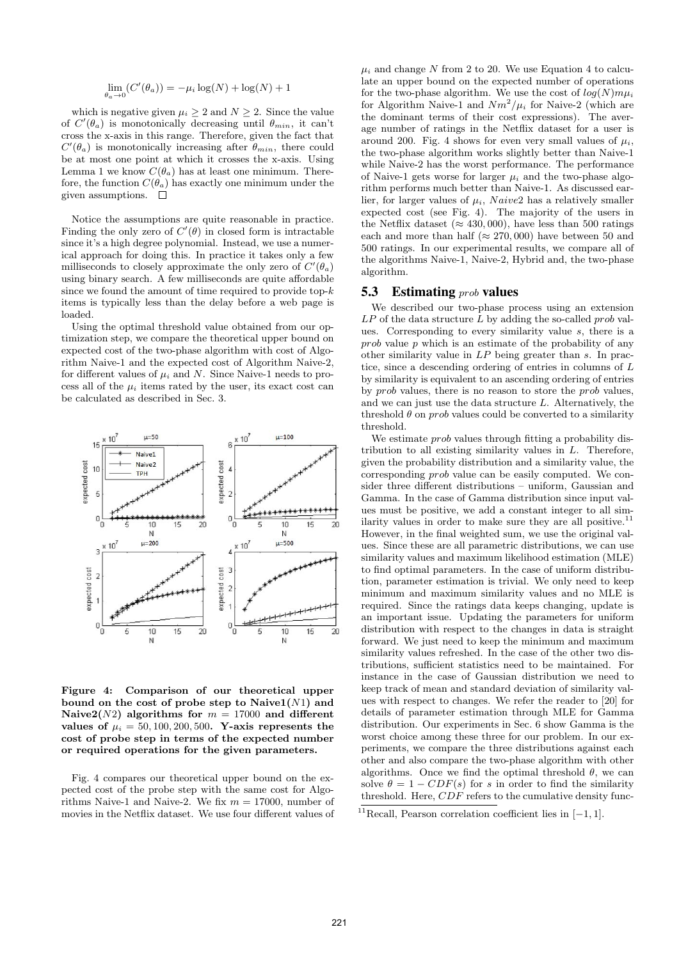$$
\lim_{\theta_a \to 0} (C'(\theta_a)) = -\mu_i \log(N) + \log(N) + 1
$$

which is negative given  $\mu_i \geq 2$  and  $N \geq 2$ . Since the value of  $C'(\theta_a)$  is monotonically decreasing until  $\theta_{min}$ , it can't cross the x-axis in this range. Therefore, given the fact that  $C'(\theta_a)$  is monotonically increasing after  $\theta_{min}$ , there could be at most one point at which it crosses the x-axis. Using Lemma 1 we know  $C(\theta_a)$  has at least one minimum. Therefore, the function  $C(\hat{\theta}_a)$  has exactly one minimum under the given assumptions.  $\Box$ 

Notice the assumptions are quite reasonable in practice. Finding the only zero of  $C'(\theta)$  in closed form is intractable since it's a high degree polynomial. Instead, we use a numerical approach for doing this. In practice it takes only a few milliseconds to closely approximate the only zero of  $C'(\theta_a)$ using binary search. A few milliseconds are quite affordable since we found the amount of time required to provide top- $k$ items is typically less than the delay before a web page is loaded.

Using the optimal threshold value obtained from our optimization step, we compare the theoretical upper bound on expected cost of the two-phase algorithm with cost of Algorithm Naive-1 and the expected cost of Algorithm Naive-2, for different values of  $\mu_i$  and N. Since Naive-1 needs to process all of the  $\mu_i$  items rated by the user, its exact cost can be calculated as described in Sec. 3.



Figure 4: Comparison of our theoretical upper bound on the cost of probe step to  $N$ aive $1(N1)$  and Naive2( $N2$ ) algorithms for  $m = 17000$  and different values of  $\mu_i = 50, 100, 200, 500$ . Y-axis represents the cost of probe step in terms of the expected number or required operations for the given parameters.

Fig. 4 compares our theoretical upper bound on the expected cost of the probe step with the same cost for Algorithms Naive-1 and Naive-2. We fix  $m = 17000$ , number of movies in the Netflix dataset. We use four different values of

 $\mu_i$  and change N from 2 to 20. We use Equation 4 to calculate an upper bound on the expected number of operations for the two-phase algorithm. We use the cost of  $log(N)m\mu_i$ for Algorithm Naive-1 and  $Nm^2/\mu_i$  for Naive-2 (which are the dominant terms of their cost expressions). The average number of ratings in the Netflix dataset for a user is around 200. Fig. 4 shows for even very small values of  $\mu_i$ , the two-phase algorithm works slightly better than Naive-1 while Naive-2 has the worst performance. The performance of Naive-1 gets worse for larger  $\mu_i$  and the two-phase algorithm performs much better than Naive-1. As discussed earlier, for larger values of  $\mu_i$ ,  $Naive2$  has a relatively smaller expected cost (see Fig. 4). The majority of the users in the Netflix dataset ( $\approx 430,000$ ), have less than 500 ratings each and more than half ( $\approx 270,000$ ) have between 50 and 500 ratings. In our experimental results, we compare all of the algorithms Naive-1, Naive-2, Hybrid and, the two-phase algorithm.

### 5.3 Estimating  $prob$  values

We described our two-phase process using an extension  $LP$  of the data structure  $L$  by adding the so-called  $prob$  values. Corresponding to every similarity value  $s$ , there is a  $prob$  value  $p$  which is an estimate of the probability of any other similarity value in  $LP$  being greater than  $s$ . In practice, since a descending ordering of entries in columns of  $L$ by similarity is equivalent to an ascending ordering of entries by  $prob$  values, there is no reason to store the  $prob$  values, and we can just use the data structure  $L$ . Alternatively, the threshold  $\theta$  on prob values could be converted to a similarity threshold.

We estimate *prob* values through fitting a probability distribution to all existing similarity values in  $L$ . Therefore, given the probability distribution and a similarity value, the corresponding *prob* value can be easily computed. We consider three different distributions – uniform, Gaussian and Gamma. In the case of Gamma distribution since input values must be positive, we add a constant integer to all similarity values in order to make sure they are all positive. $11$ However, in the final weighted sum, we use the original values. Since these are all parametric distributions, we can use similarity values and maximum likelihood estimation (MLE) to find optimal parameters. In the case of uniform distribution, parameter estimation is trivial. We only need to keep minimum and maximum similarity values and no MLE is required. Since the ratings data keeps changing, update is an important issue. Updating the parameters for uniform distribution with respect to the changes in data is straight forward. We just need to keep the minimum and maximum similarity values refreshed. In the case of the other two distributions, sufficient statistics need to be maintained. For instance in the case of Gaussian distribution we need to keep track of mean and standard deviation of similarity values with respect to changes. We refer the reader to [20] for details of parameter estimation through MLE for Gamma distribution. Our experiments in Sec. 6 show Gamma is the worst choice among these three for our problem. In our experiments, we compare the three distributions against each other and also compare the two-phase algorithm with other algorithms. Once we find the optimal threshold  $\theta$ , we can solve  $\theta = 1 - CDF(s)$  for s in order to find the similarity threshold. Here,  $CDF$  refers to the cumulative density func-

<sup>&</sup>lt;sup>11</sup>Recall, Pearson correlation coefficient lies in  $[-1, 1]$ .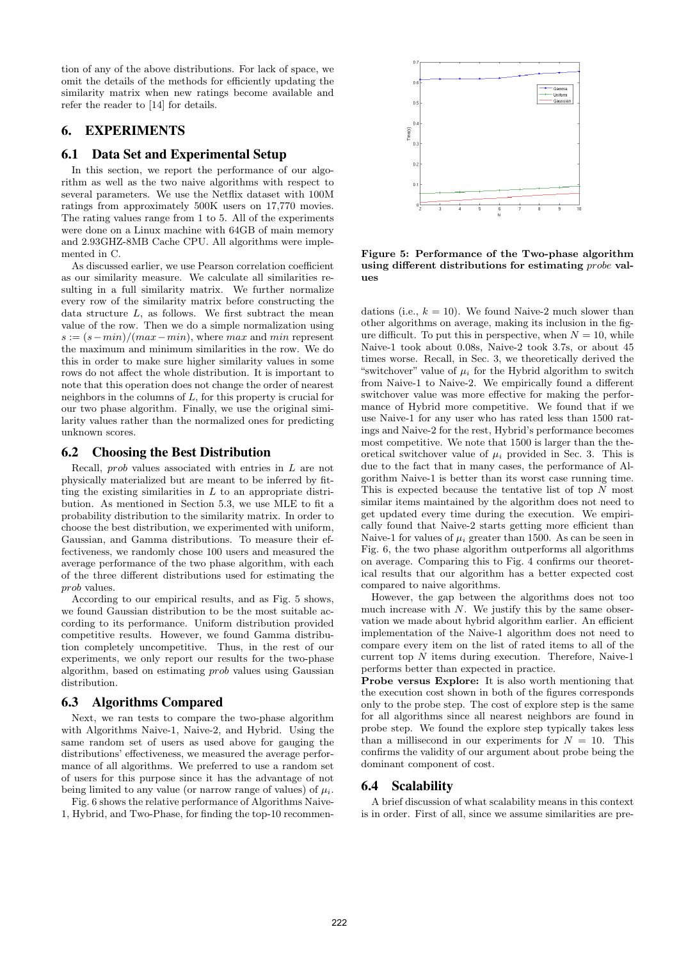tion of any of the above distributions. For lack of space, we omit the details of the methods for efficiently updating the similarity matrix when new ratings become available and refer the reader to [14] for details.

# 6. EXPERIMENTS

### 6.1 Data Set and Experimental Setup

In this section, we report the performance of our algorithm as well as the two naive algorithms with respect to several parameters. We use the Netflix dataset with 100M ratings from approximately 500K users on 17,770 movies. The rating values range from 1 to 5. All of the experiments were done on a Linux machine with 64GB of main memory and 2.93GHZ-8MB Cache CPU. All algorithms were implemented in C.

As discussed earlier, we use Pearson correlation coefficient as our similarity measure. We calculate all similarities resulting in a full similarity matrix. We further normalize every row of the similarity matrix before constructing the data structure  $L$ , as follows. We first subtract the mean value of the row. Then we do a simple normalization using  $s := (s - \min)/(max - \min)$ , where  $max$  and  $\min$  represent the maximum and minimum similarities in the row. We do this in order to make sure higher similarity values in some rows do not affect the whole distribution. It is important to note that this operation does not change the order of nearest neighbors in the columns of  $L$ , for this property is crucial for our two phase algorithm. Finally, we use the original similarity values rather than the normalized ones for predicting unknown scores.

### 6.2 Choosing the Best Distribution

Recall,  $prob$  values associated with entries in  $L$  are not physically materialized but are meant to be inferred by fitting the existing similarities in  $L$  to an appropriate distribution. As mentioned in Section 5.3, we use MLE to fit a probability distribution to the similarity matrix. In order to choose the best distribution, we experimented with uniform, Gaussian, and Gamma distributions. To measure their effectiveness, we randomly chose 100 users and measured the average performance of the two phase algorithm, with each of the three different distributions used for estimating the prob values.

According to our empirical results, and as Fig. 5 shows, we found Gaussian distribution to be the most suitable according to its performance. Uniform distribution provided competitive results. However, we found Gamma distribution completely uncompetitive. Thus, in the rest of our experiments, we only report our results for the two-phase algorithm, based on estimating *prob* values using Gaussian distribution.

### 6.3 Algorithms Compared

Next, we ran tests to compare the two-phase algorithm with Algorithms Naive-1, Naive-2, and Hybrid. Using the same random set of users as used above for gauging the distributions' effectiveness, we measured the average performance of all algorithms. We preferred to use a random set of users for this purpose since it has the advantage of not being limited to any value (or narrow range of values) of  $\mu_i$ .

Fig. 6 shows the relative performance of Algorithms Naive-1, Hybrid, and Two-Phase, for finding the top-10 recommen-



Figure 5: Performance of the Two-phase algorithm using different distributions for estimating  $probe$  values

dations (i.e.,  $k = 10$ ). We found Naive-2 much slower than other algorithms on average, making its inclusion in the figure difficult. To put this in perspective, when  $N = 10$ , while Naive-1 took about 0.08s, Naive-2 took 3.7s, or about 45 times worse. Recall, in Sec. 3, we theoretically derived the "switchover" value of  $\mu_i$  for the Hybrid algorithm to switch from Naive-1 to Naive-2. We empirically found a different switchover value was more effective for making the performance of Hybrid more competitive. We found that if we use Naive-1 for any user who has rated less than 1500 ratings and Naive-2 for the rest, Hybrid's performance becomes most competitive. We note that 1500 is larger than the theoretical switchover value of  $\mu_i$  provided in Sec. 3. This is due to the fact that in many cases, the performance of Algorithm Naive-1 is better than its worst case running time. This is expected because the tentative list of top  $N$  most similar items maintained by the algorithm does not need to get updated every time during the execution. We empirically found that Naive-2 starts getting more efficient than Naive-1 for values of  $\mu_i$  greater than 1500. As can be seen in Fig. 6, the two phase algorithm outperforms all algorithms on average. Comparing this to Fig. 4 confirms our theoretical results that our algorithm has a better expected cost compared to naive algorithms.

However, the gap between the algorithms does not too much increase with  $N$ . We justify this by the same observation we made about hybrid algorithm earlier. An efficient implementation of the Naive-1 algorithm does not need to compare every item on the list of rated items to all of the current top  $N$  items during execution. Therefore, Naive-1 performs better than expected in practice.

Probe versus Explore: It is also worth mentioning that the execution cost shown in both of the figures corresponds only to the probe step. The cost of explore step is the same for all algorithms since all nearest neighbors are found in probe step. We found the explore step typically takes less than a millisecond in our experiments for  $N = 10$ . This confirms the validity of our argument about probe being the dominant component of cost.

### 6.4 Scalability

A brief discussion of what scalability means in this context is in order. First of all, since we assume similarities are pre-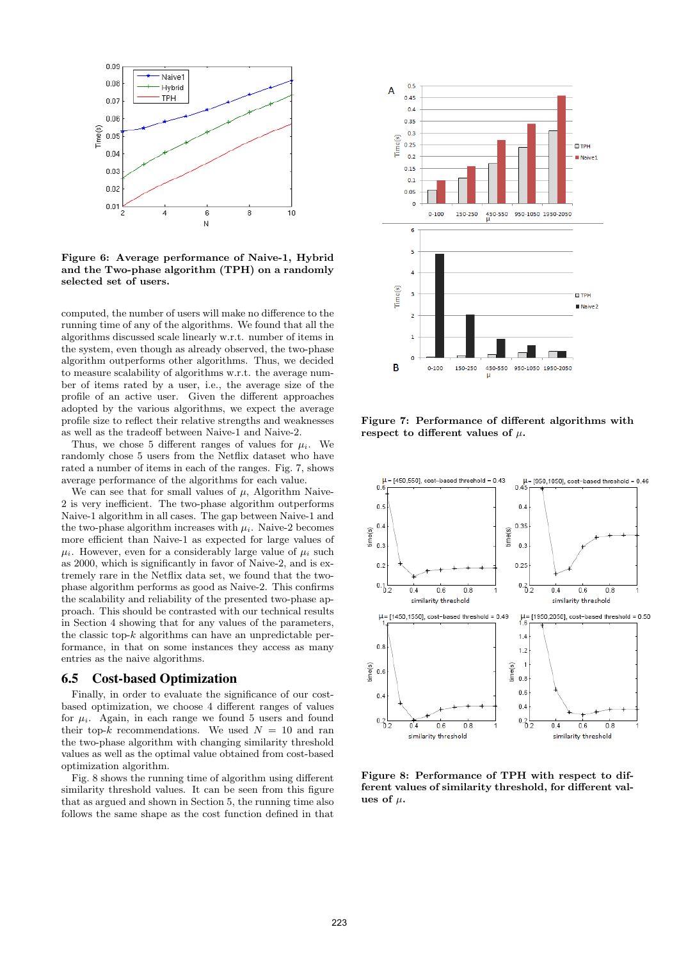

Figure 6: Average performance of Naive-1, Hybrid and the Two-phase algorithm (TPH) on a randomly selected set of users.

computed, the number of users will make no difference to the running time of any of the algorithms. We found that all the algorithms discussed scale linearly w.r.t. number of items in the system, even though as already observed, the two-phase algorithm outperforms other algorithms. Thus, we decided to measure scalability of algorithms w.r.t. the average number of items rated by a user, i.e., the average size of the profile of an active user. Given the different approaches adopted by the various algorithms, we expect the average profile size to reflect their relative strengths and weaknesses as well as the tradeoff between Naive-1 and Naive-2.

Thus, we chose 5 different ranges of values for  $u_i$ . We randomly chose 5 users from the Netflix dataset who have rated a number of items in each of the ranges. Fig. 7, shows average performance of the algorithms for each value.

We can see that for small values of  $\mu$ , Algorithm Naive-2 is very inefficient. The two-phase algorithm outperforms Naive-1 algorithm in all cases. The gap between Naive-1 and the two-phase algorithm increases with  $\mu_i$ . Naive-2 becomes more efficient than Naive-1 as expected for large values of  $\mu_i$ . However, even for a considerably large value of  $\mu_i$  such as 2000, which is significantly in favor of Naive-2, and is extremely rare in the Netflix data set, we found that the twophase algorithm performs as good as Naive-2. This confirms the scalability and reliability of the presented two-phase approach. This should be contrasted with our technical results in Section 4 showing that for any values of the parameters, the classic top- $k$  algorithms can have an unpredictable performance, in that on some instances they access as many entries as the naive algorithms.

### 6.5 Cost-based Optimization

Finally, in order to evaluate the significance of our costbased optimization, we choose 4 different ranges of values for  $\mu_i$ . Again, in each range we found 5 users and found their top- $k$  recommendations. We used  $N = 10$  and ran the two-phase algorithm with changing similarity threshold values as well as the optimal value obtained from cost-based optimization algorithm.

Fig. 8 shows the running time of algorithm using different similarity threshold values. It can be seen from this figure that as argued and shown in Section 5, the running time also follows the same shape as the cost function defined in that



Figure 7: Performance of different algorithms with respect to different values of  $\mu$ .



Figure 8: Performance of TPH with respect to different values of similarity threshold, for different values of  $\mu$ .